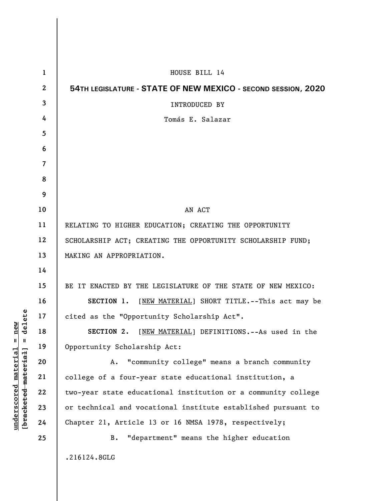| $\mathbf{1}$     | HOUSE BILL 14                                                 |
|------------------|---------------------------------------------------------------|
| $\boldsymbol{2}$ | 54TH LEGISLATURE - STATE OF NEW MEXICO - SECOND SESSION, 2020 |
| $\mathbf{3}$     | INTRODUCED BY                                                 |
| 4                | Tomás E. Salazar                                              |
| 5                |                                                               |
| 6                |                                                               |
| $\overline{7}$   |                                                               |
| 8                |                                                               |
| 9                |                                                               |
| 10               | AN ACT                                                        |
| 11               | RELATING TO HIGHER EDUCATION; CREATING THE OPPORTUNITY        |
| 12               | SCHOLARSHIP ACT; CREATING THE OPPORTUNITY SCHOLARSHIP FUND;   |
| 13               | MAKING AN APPROPRIATION.                                      |
| 14               |                                                               |
| 15               | BE IT ENACTED BY THE LEGISLATURE OF THE STATE OF NEW MEXICO:  |
| 16               | SECTION 1. [NEW MATERIAL] SHORT TITLE.--This act may be       |
| 17               | cited as the "Opportunity Scholarship Act".                   |
| 18               | SECTION 2. [NEW MATERIAL] DEFINITIONS.--As used in the        |
| 19               | Opportunity Scholarship Act:                                  |
| 20               | "community college" means a branch community<br>Α.            |
| 21               | college of a four-year state educational institution, a       |
| 22               | two-year state educational institution or a community college |
| 23               | or technical and vocational institute established pursuant to |
| 24               | Chapter 21, Article 13 or 16 NMSA 1978, respectively;         |
| 25               | "department" means the higher education<br>B.                 |
|                  | .216124.8GLG                                                  |

**underscored material = new [bracketed material] = delete**

 $[**bracket eted metert et**] = **del et e**$  $underscored material = new$ 

 $\overline{\phantom{a}}$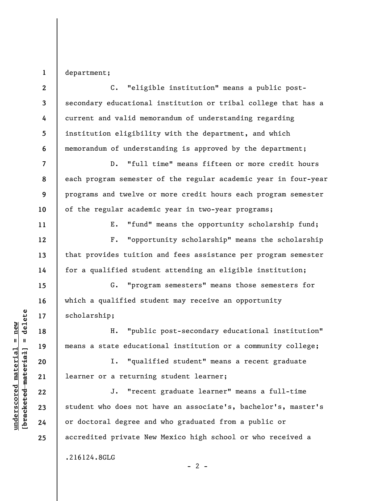**1**  department;

**2 3 4 5 6 7 8 9 10 11**  C. "eligible institution" means a public postsecondary educational institution or tribal college that has a current and valid memorandum of understanding regarding institution eligibility with the department, and which memorandum of understanding is approved by the department; D. "full time" means fifteen or more credit hours each program semester of the regular academic year in four-year programs and twelve or more credit hours each program semester of the regular academic year in two-year programs; E. "fund" means the opportunity scholarship fund;

F. "opportunity scholarship" means the scholarship that provides tuition and fees assistance per program semester for a qualified student attending an eligible institution;

G. "program semesters" means those semesters for which a qualified student may receive an opportunity scholarship;

H. "public post-secondary educational institution" means a state educational institution or a community college;

I. "qualified student" means a recent graduate learner or a returning student learner;

J. "recent graduate learner" means a full-time student who does not have an associate's, bachelor's, master's or doctoral degree and who graduated from a public or accredited private New Mexico high school or who received a

.216124.8GLG

 $\frac{1}{2}$  intereted material = delete **[bracketed material] = delete**  $underscored material = new$ **underscored material = new**

**12** 

**13** 

**14** 

**15** 

**16** 

**17** 

**18** 

**19** 

**20** 

**21** 

**22** 

**23** 

**24** 

**25**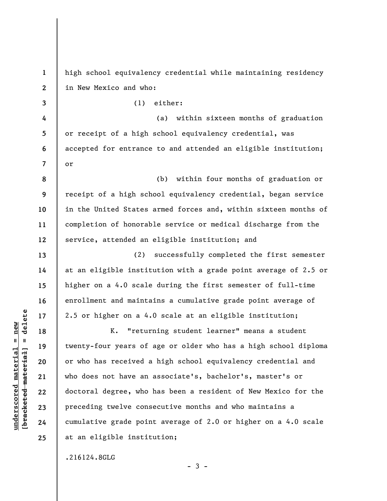**1 2 3**  high school equivalency credential while maintaining residency in New Mexico and who: (1) either:

**4 5 6 7**  (a) within sixteen months of graduation or receipt of a high school equivalency credential, was accepted for entrance to and attended an eligible institution; or

**8 9 10 11 12**  (b) within four months of graduation or receipt of a high school equivalency credential, began service in the United States armed forces and, within sixteen months of completion of honorable service or medical discharge from the service, attended an eligible institution; and

(2) successfully completed the first semester at an eligible institution with a grade point average of 2.5 or higher on a 4.0 scale during the first semester of full-time enrollment and maintains a cumulative grade point average of 2.5 or higher on a 4.0 scale at an eligible institution;

K. "returning student learner" means a student twenty-four years of age or older who has a high school diploma or who has received a high school equivalency credential and who does not have an associate's, bachelor's, master's or doctoral degree, who has been a resident of New Mexico for the preceding twelve consecutive months and who maintains a cumulative grade point average of 2.0 or higher on a 4.0 scale at an eligible institution;

.216124.8GLG

 $\frac{1}{2}$  of  $\frac{1}{2}$  and  $\frac{1}{2}$  and  $\frac{1}{2}$  and  $\frac{1}{2}$  and  $\frac{1}{2}$  and  $\frac{1}{2}$  and  $\frac{1}{2}$  and  $\frac{1}{2}$  and  $\frac{1}{2}$  and  $\frac{1}{2}$  and  $\frac{1}{2}$  and  $\frac{1}{2}$  and  $\frac{1}{2}$  and  $\frac{1}{2}$  and  $\frac{1}{2}$  an **[bracketed material] = delete**  $underscored material = new$ **underscored material = new**

**13** 

**14** 

**15** 

**16** 

**17** 

**18** 

**19** 

**20** 

**21** 

**22** 

**23** 

**24** 

**25** 

 $-3 -$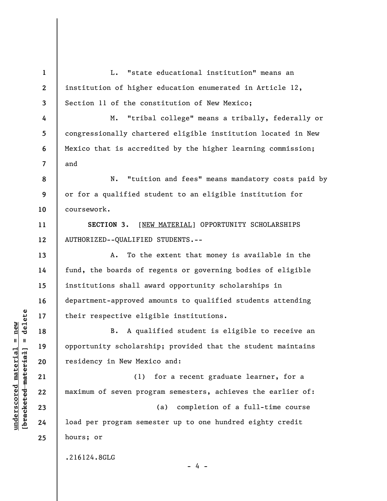**1 2 3 4 5 6 7 8 9 10 11 12 13 14 15 16 17 18 19 20 21 22 23 24 25**  L. "state educational institution" means an institution of higher education enumerated in Article 12, Section 11 of the constitution of New Mexico; M. "tribal college" means a tribally, federally or congressionally chartered eligible institution located in New Mexico that is accredited by the higher learning commission; and N. "tuition and fees" means mandatory costs paid by or for a qualified student to an eligible institution for coursework. **SECTION 3.** [NEW MATERIAL] OPPORTUNITY SCHOLARSHIPS AUTHORIZED--QUALIFIED STUDENTS.-- A. To the extent that money is available in the fund, the boards of regents or governing bodies of eligible institutions shall award opportunity scholarships in department-approved amounts to qualified students attending their respective eligible institutions. B. A qualified student is eligible to receive an opportunity scholarship; provided that the student maintains residency in New Mexico and: (1) for a recent graduate learner, for a maximum of seven program semesters, achieves the earlier of: (a) completion of a full-time course load per program semester up to one hundred eighty credit hours; or .216124.8GLG - 4 -

 $\frac{1}{2}$  intereted material = delete **[bracketed material] = delete**  $underscored material = new$ **underscored material = new**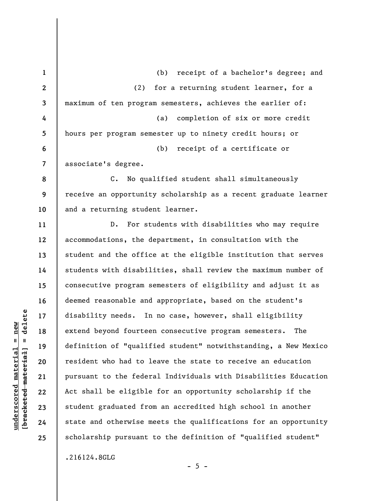**1 2 3 4 5 6 7 8 9 10 11 12 13 14 15 16 17 18 19 20 21 22 23 24 25**  (b) receipt of a bachelor's degree; and (2) for a returning student learner, for a maximum of ten program semesters, achieves the earlier of: (a) completion of six or more credit hours per program semester up to ninety credit hours; or (b) receipt of a certificate or associate's degree. C. No qualified student shall simultaneously receive an opportunity scholarship as a recent graduate learner and a returning student learner. D. For students with disabilities who may require accommodations, the department, in consultation with the student and the office at the eligible institution that serves students with disabilities, shall review the maximum number of consecutive program semesters of eligibility and adjust it as deemed reasonable and appropriate, based on the student's disability needs. In no case, however, shall eligibility extend beyond fourteen consecutive program semesters. The definition of "qualified student" notwithstanding, a New Mexico resident who had to leave the state to receive an education pursuant to the federal Individuals with Disabilities Education Act shall be eligible for an opportunity scholarship if the student graduated from an accredited high school in another state and otherwise meets the qualifications for an opportunity scholarship pursuant to the definition of "qualified student"

.216124.8GLG

**underscored material = new [bracketed material] = delete**

 $\frac{1}{2}$  of  $\frac{1}{2}$  and  $\frac{1}{2}$  and  $\frac{1}{2}$  and  $\frac{1}{2}$  and  $\frac{1}{2}$  and  $\frac{1}{2}$  and  $\frac{1}{2}$  and  $\frac{1}{2}$  and  $\frac{1}{2}$  and  $\frac{1}{2}$  and  $\frac{1}{2}$  and  $\frac{1}{2}$  and  $\frac{1}{2}$  and  $\frac{1}{2}$  and  $\frac{1}{2}$  an  $underscored material = new$ 

 $- 5 -$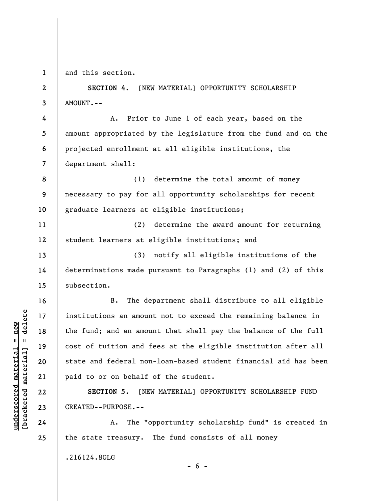**1** 

**2** 

**3** 

**4** 

**5** 

**6** 

**7** 

**13** 

**14** 

**15** 

**16** 

**17** 

**18** 

**19** 

**20** 

**21** 

**22** 

**23** 

**24** 

**25** 

**underscored material = new [bracketed material] = delete**

 $b$ racketed material] = delete  $underscored material = new$ 

and this section.

**SECTION 4.** [NEW MATERIAL] OPPORTUNITY SCHOLARSHIP AMOUNT.--

A. Prior to June 1 of each year, based on the amount appropriated by the legislature from the fund and on the projected enrollment at all eligible institutions, the department shall:

**8 9 10**  (1) determine the total amount of money necessary to pay for all opportunity scholarships for recent graduate learners at eligible institutions;

**11 12**  (2) determine the award amount for returning student learners at eligible institutions; and

(3) notify all eligible institutions of the determinations made pursuant to Paragraphs (1) and (2) of this subsection.

B. The department shall distribute to all eligible institutions an amount not to exceed the remaining balance in the fund; and an amount that shall pay the balance of the full cost of tuition and fees at the eligible institution after all state and federal non-loan-based student financial aid has been paid to or on behalf of the student.

**SECTION 5.** [NEW MATERIAL] OPPORTUNITY SCHOLARSHIP FUND CREATED--PURPOSE.--

A. The "opportunity scholarship fund" is created in the state treasury. The fund consists of all money

.216124.8GLG

 $- 6 -$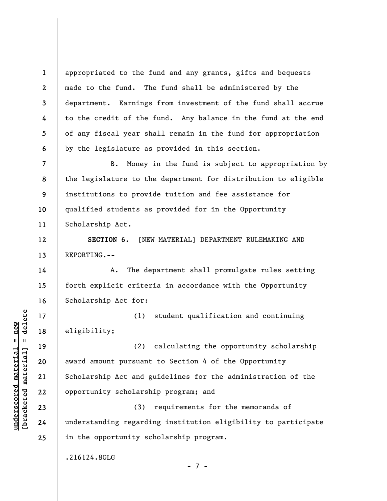appropriated to the fund and any grants, gifts and bequests made to the fund. The fund shall be administered by the department. Earnings from investment of the fund shall accrue to the credit of the fund. Any balance in the fund at the end of any fiscal year shall remain in the fund for appropriation by the legislature as provided in this section.

**7 8 9 10 11**  B. Money in the fund is subject to appropriation by the legislature to the department for distribution to eligible institutions to provide tuition and fee assistance for qualified students as provided for in the Opportunity Scholarship Act.

**SECTION 6.** [NEW MATERIAL] DEPARTMENT RULEMAKING AND REPORTING.--

A. The department shall promulgate rules setting forth explicit criteria in accordance with the Opportunity Scholarship Act for:

(1) student qualification and continuing eligibility;

(2) calculating the opportunity scholarship award amount pursuant to Section 4 of the Opportunity Scholarship Act and guidelines for the administration of the opportunity scholarship program; and

(3) requirements for the memoranda of understanding regarding institution eligibility to participate in the opportunity scholarship program.

- 7 -

.216124.8GLG

 $\frac{1}{2}$  intereted material = delete **[bracketed material] = delete**  $underscored material = new$ **underscored material = new**

**1** 

**2** 

**3** 

**4** 

**5** 

**6** 

**12** 

**13** 

**14** 

**15** 

**16** 

**17** 

**18** 

**19** 

**20** 

**21** 

**22** 

**23** 

**24** 

**25**